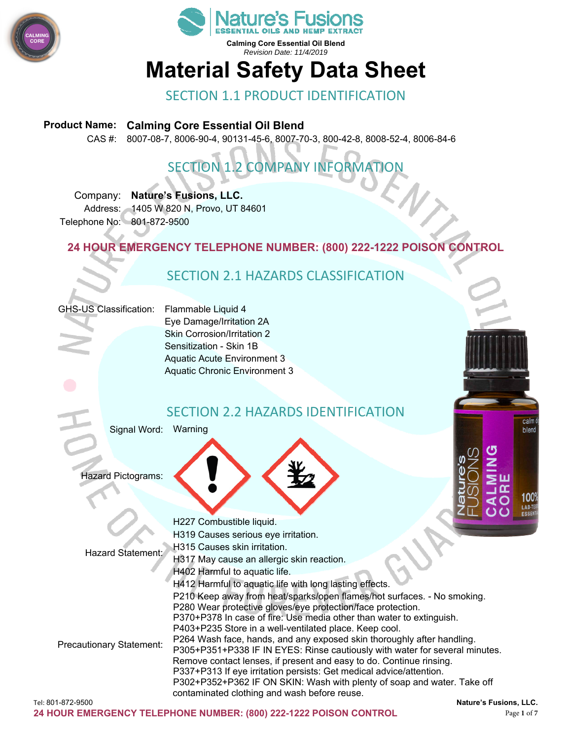



# **Material Safety Data Sheet**

## SECTION 1.1 PRODUCT IDENTIFICATION

#### **Product Name: Calming Core Essential Oil Blend**

CAS #: 8007-08-7, 8006-90-4, 90131-45-6, 8007-70-3, 800-42-8, 8008-52-4, 8006-84-6

## SECTION 1.2 COMPANY INFORMATION

Company: **Nature's Fusions, LLC.**  Address: 1405 W 820 N, Provo, UT 84601 Telephone No: 801-872-9500

**24 HOUR EMERGENCY TELEPHONE NUMBER: (800) 222-1222 POISON CONTROL** 

## SECTION 2.1 HAZARDS CLASSIFICATION

#### GHS-US Classification: Flammable Liquid 4

Eye Damage/Irritation 2A Skin Corrosion/Irritation 2 Sensitization - Skin 1B Aquatic Acute Environment 3 Aquatic Chronic Environment 3

### SECTION 2.2 HAZARDS IDENTIFICATION

Signal Word: Warning

Hazard Pictograms:



calm blend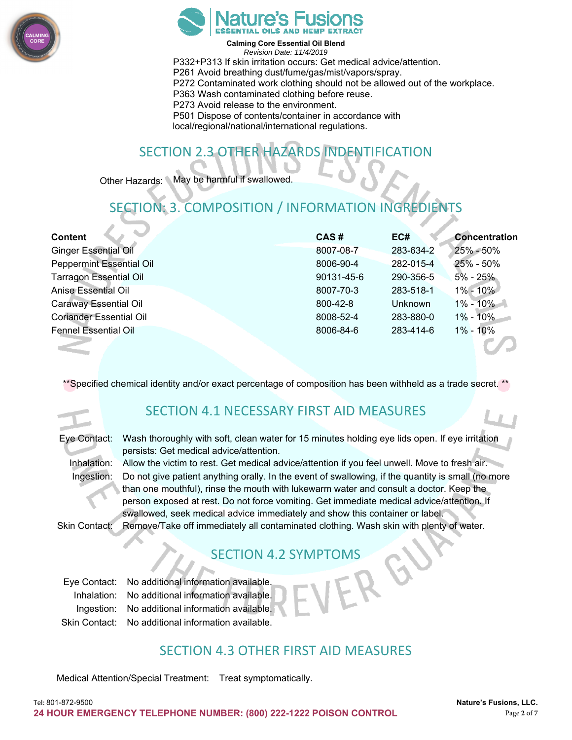



**Calming Core Essential Oil Blend** 

*Revision Date: 11/4/2019*  P332+P313 If skin irritation occurs: Get medical advice/attention. P261 Avoid breathing dust/fume/gas/mist/vapors/spray. P272 Contaminated work clothing should not be allowed out of the workplace. P363 Wash contaminated clothing before reuse. P273 Avoid release to the environment. P501 Dispose of contents/container in accordance with local/regional/national/international regulations.

## SECTION 2.3 OTHER HAZARDS INDENTIFICATION

Other Hazards: May be harmful if swallowed.

## SECTION: 3. COMPOSITION / INFORMATION INGREDIENTS

| <b>Content</b>                  | CAS#       | EC#            | <b>Concentration</b> |
|---------------------------------|------------|----------------|----------------------|
| <b>Ginger Essential Oil</b>     | 8007-08-7  | 283-634-2      | $25\% - 50\%$        |
| <b>Peppermint Essential Oil</b> | 8006-90-4  | 282-015-4      | 25% - 50%            |
| <b>Tarragon Essential Oil</b>   | 90131-45-6 | 290-356-5      | $5\%$ - 25%          |
| <b>Anise Essential Oil</b>      | 8007-70-3  | 283-518-1      | $1\% - 10\%$         |
| <b>Caraway Essential Oil</b>    | 800-42-8   | <b>Unknown</b> | $1\% - 10\%$         |
| <b>Coriander Essential Oil</b>  | 8008-52-4  | 283-880-0      | 1% - 10%             |
| <b>Fennel Essential Oil</b>     | 8006-84-6  | 283-414-6      | $1\% - 10\%$         |
|                                 |            |                |                      |

\*\*Specified chemical identity and/or exact percentage of composition has been withheld as a trade secret.

## SECTION 4.1 NECESSARY FIRST AID MEASURES

| Eye Contact: |  |
|--------------|--|
|              |  |

Wash thoroughly with soft, clean water for 15 minutes holding eye lids open. If eye irritation persists: Get medical advice/attention.

Inhalation: Allow the victim to rest. Get medical advice/attention if you feel unwell. Move to fresh air.<br>Ingestion: Do not give patient anything orally. In the event of swallowing, if the quantity is small (no Do not give patient anything orally. In the event of swallowing, if the quantity is small (no more than one mouthful), rinse the mouth with lukewarm water and consult a doctor. Keep the person exposed at rest. Do not force vomiting. Get immediate medical advice/attention. If swallowed, seek medical advice immediately and show this container or label. Skin Contact: Remove/Take off immediately all contaminated clothing. Wash skin with plenty of water.

## SECTION 4.2 SYMPTOMS

| Eye Contact: No additional information available.  |
|----------------------------------------------------|
| Inhalation: No additional information available.   |
| Ingestion: No additional information available.    |
| Skin Contact: No additional information available. |

## SECTION 4.3 OTHER FIRST AID MEASURES

Medical Attention/Special Treatment: Treat symptomatically.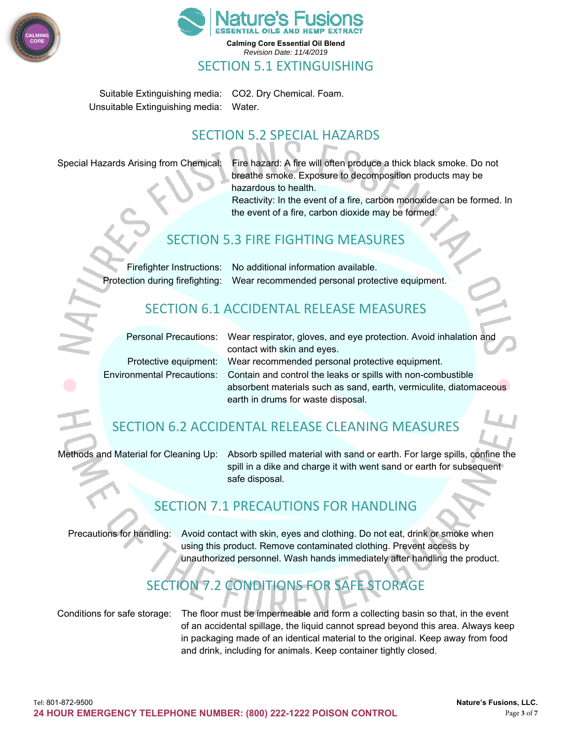



Suitable Extinguishing media: CO2. Dry Chemical. Foam. Unsuitable Extinguishing media: Water.

## SECTION 5.2 SPECIAL HAZARDS

Special Hazards Arising from Chemical: Fire hazard: A fire will often produce a thick black smoke. Do not breathe smoke. Exposure to decomposition products may be hazardous to health.

Reactivity: In the event of a fire, carbon monoxide can be formed. In the event of a fire, carbon dioxide may be formed.

## SECTION 5.3 FIRE FIGHTING MEASURES

Firefighter Instructions: No additional information available. Protection during firefighting: Wear recommended personal protective equipment.

## SECTION 6.1 ACCIDENTAL RELEASE MEASURES

Personal Precautions: Wear respirator, gloves, and eye protection. Avoid inhalation and contact with skin and eyes. Protective equipment: Wear recommended personal protective equipment. Environmental Precautions: Contain and control the leaks or spills with non-combustible absorbent materials such as sand, earth, vermiculite, diatomaceous earth in drums for waste disposal.

## SECTION 6.2 ACCIDENTAL RELEASE CLEANING MEASURES

Methods and Material for Cleaning Up: Absorb spilled material with sand or earth. For large spills, confine the spill in a dike and charge it with went sand or earth for subsequent safe disposal.

### SECTION 7.1 PRECAUTIONS FOR HANDLING

Precautions for handling: Avoid contact with skin, eyes and clothing. Do not eat, drink or smoke when using this product. Remove contaminated clothing. Prevent access by unauthorized personnel. Wash hands immediately after handling the product.

## SECTION 7.2 CONDITIONS FOR SAFE STORAGE

Conditions for safe storage: The floor must be impermeable and form a collecting basin so that, in the event of an accidental spillage, the liquid cannot spread beyond this area. Always keep in packaging made of an identical material to the original. Keep away from food and drink, including for animals. Keep container tightly closed.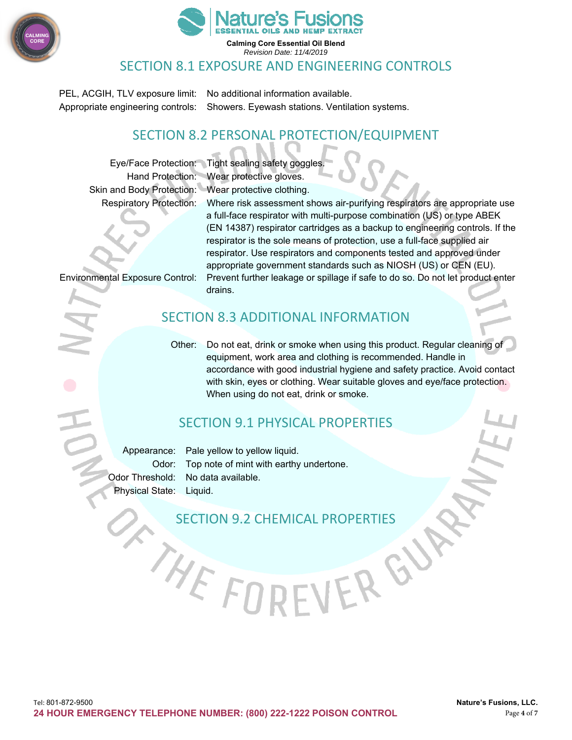



#### SECTION 8.1 EXPOSURE AND ENGINEERING CONTROLS

PEL, ACGIH, TLV exposure limit: No additional information available. Appropriate engineering controls: Showers. Eyewash stations. Ventilation systems.

### SECTION 8.2 PERSONAL PROTECTION/EQUIPMENT

Skin and Body Protection: Wear protective clothing.

Eye/Face Protection: Tight sealing safety goggles. Hand Protection: Wear protective gloves.

Respiratory Protection: Where risk assessment shows air-purifying respirators are appropriate use a full-face respirator with multi-purpose combination (US) or type ABEK (EN 14387) respirator cartridges as a backup to engineering controls. If the respirator is the sole means of protection, use a full-face supplied air respirator. Use respirators and components tested and approved under appropriate government standards such as NIOSH (US) or CEN (EU). Environmental Exposure Control: Prevent further leakage or spillage if safe to do so. Do not let product enter drains.

## SECTION 8.3 ADDITIONAL INFORMATION

Other: Do not eat, drink or smoke when using this product. Regular cleaning of equipment, work area and clothing is recommended. Handle in accordance with good industrial hygiene and safety practice. Avoid contact with skin, eyes or clothing. Wear suitable gloves and eye/face protection. When using do not eat, drink or smoke.

VERGU

## SECTION 9.1 PHYSICAL PROPERTIES

Appearance: Pale yellow to yellow liquid. Odor: Top note of mint with earthy undertone. Odor Threshold: No data available. Physical State: Liquid.

#### SECTION 9.2 CHEMICAL PROPERTIES

THE FO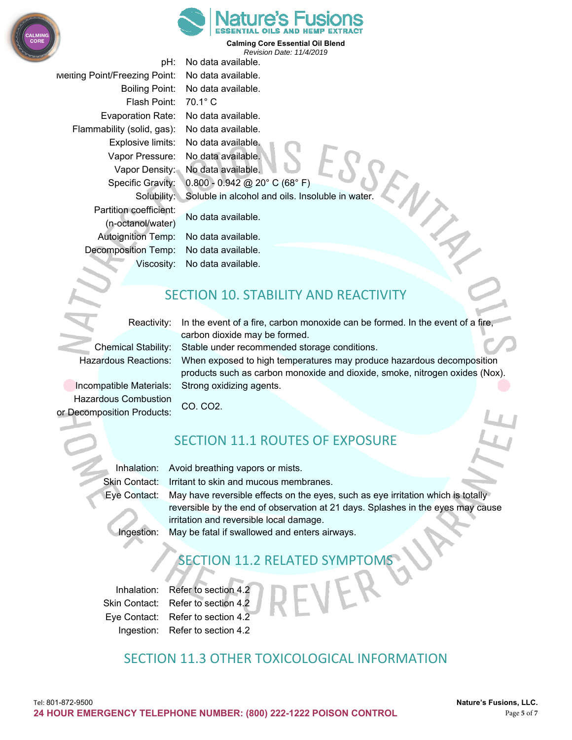



pH: No data available. Melting Point/Freezing Point: No data available. Boiling Point: No data available. Flash Point: 70.1° C Evaporation Rate: No data available. Flammability (solid, gas): No data available. Explosive limits: No data available. Vapor Pressure: No data available. Vapor Density: No data available. Specific Gravity: 0.800 - 0.942 @ 20° C (68° F) Solubility: Soluble in alcohol and oils. Insoluble in water. Partition coefficient: No data available. (n-octanol/water) Autoignition Temp: No data available. Decomposition Temp: No data available. Viscosity: No data available.

## SECTION 10. STABILITY AND REACTIVITY

Reactivity: In the event of a fire, carbon monoxide can be formed. In the event of a fire, carbon dioxide may be formed.

Chemical Stability: Stable under recommended storage conditions.

Hazardous Reactions: When exposed to high temperatures may produce hazardous decomposition products such as carbon monoxide and dioxide, smoke, nitrogen oxides (Nox). Incompatible Materials: Strong oxidizing agents.

Hazardous Combustion CO. CO2. or Decomposition Products:

## SECTION 11.1 ROUTES OF EXPOSURE

Inhalation: Avoid breathing vapors or mists. Skin Contact: Irritant to skin and mucous membranes.

Eye Contact: May have reversible effects on the eyes, such as eye irritation which is totally reversible by the end of observation at 21 days. Splashes in the eyes may cause irritation and reversible local damage. Ingestion: May be fatal if swallowed and enters airways.

**SECTION 11.2 RELATED SYMPT** 

Inhalation: Refer to section 4.2 Skin Contact: Refer to section 4.2 Eye Contact: Refer to section 4.2 Ingestion: Refer to section 4.2

SECTION 11.3 OTHER TOXICOLOGICAL INFORMATION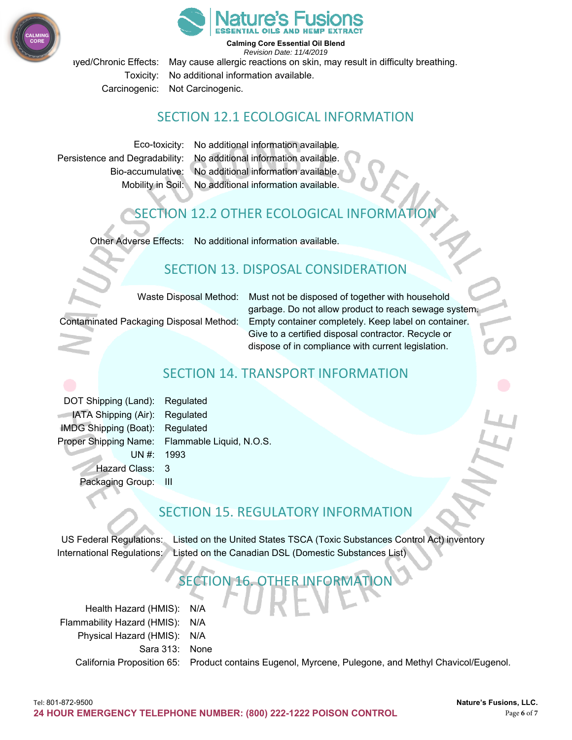



iyed/Chronic Effects: May cause allergic reactions on skin, may result in difficulty breathing. Toxicity: No additional information available. Carcinogenic: Not Carcinogenic.

### SECTION 12.1 ECOLOGICAL INFORMATION

Eco-toxicity: No additional information available. Persistence and Degradability: No additional information available. Bio-accumulative: No additional information available. Mobility in Soil: No additional information available.

## SECTION 12.2 OTHER ECOLOGICAL INFORMATION

Other Adverse Effects: No additional information available.

## SECTION 13. DISPOSAL CONSIDERATION

Waste Disposal Method: Must not be disposed of together with household garbage. Do not allow product to reach sewage system. Contaminated Packaging Disposal Method: Empty container completely. Keep label on container. Give to a certified disposal contractor. Recycle or dispose of in compliance with current legislation.

## SECTION 14. TRANSPORT INFORMATION

DOT Shipping (Land): Regulated **IATA Shipping (Air): Regulated** IMDG Shipping (Boat): Regulated Proper Shipping Name: Flammable Liquid, N.O.S. UN #: 1993 Hazard Class: 3 Packaging Group: III

## SECTION 15. REGULATORY INFORMATION

US Federal Regulations: Listed on the United States TSCA (Toxic Substances Control Act) inventory International Regulations: Listed on the Canadian DSL (Domestic Substances List)

## SECTION

Health Hazard (HMIS): N/A Flammability Hazard (HMIS): N/A Physical Hazard (HMIS): N/A Sara 313: None California Proposition 65: Product contains Eugenol, Myrcene, Pulegone, and Methyl Chavicol/Eugenol.